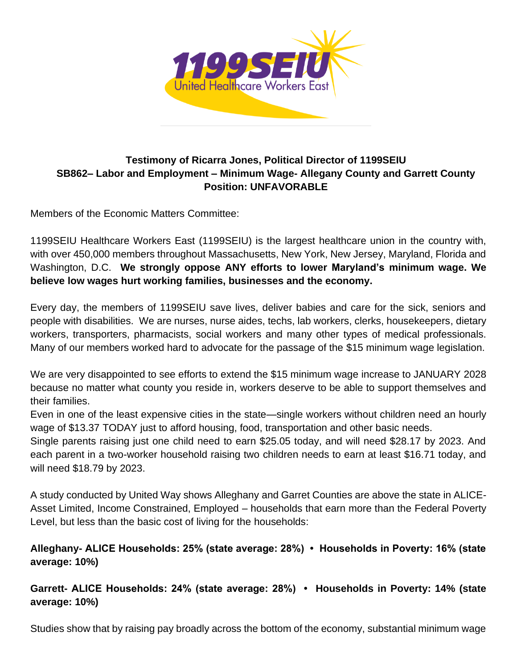

## **Testimony of Ricarra Jones, Political Director of 1199SEIU SB862– Labor and Employment – Minimum Wage- Allegany County and Garrett County Position: UNFAVORABLE**

Members of the Economic Matters Committee:

1199SEIU Healthcare Workers East (1199SEIU) is the largest healthcare union in the country with, with over 450,000 members throughout Massachusetts, New York, New Jersey, Maryland, Florida and Washington, D.C. **We strongly oppose ANY efforts to lower Maryland's minimum wage. We believe low wages hurt working families, businesses and the economy.** 

Every day, the members of 1199SEIU save lives, deliver babies and care for the sick, seniors and people with disabilities. We are nurses, nurse aides, techs, lab workers, clerks, housekeepers, dietary workers, transporters, pharmacists, social workers and many other types of medical professionals. Many of our members worked hard to advocate for the passage of the \$15 minimum wage legislation.

We are very disappointed to see efforts to extend the \$15 minimum wage increase to JANUARY 2028 because no matter what county you reside in, workers deserve to be able to support themselves and their families.

Even in one of the least expensive cities in the state—single workers without children need an hourly wage of \$13.37 TODAY just to afford housing, food, transportation and other basic needs.

Single parents raising just one child need to earn \$25.05 today, and will need \$28.17 by 2023. And each parent in a two-worker household raising two children needs to earn at least \$16.71 today, and will need \$18.79 by 2023.

A study conducted by United Way shows Alleghany and Garret Counties are above the state in ALICE-Asset Limited, Income Constrained, Employed – households that earn more than the Federal Poverty Level, but less than the basic cost of living for the households:

## **Alleghany- ALICE Households: 25% (state average: 28%) • Households in Poverty: 16% (state average: 10%)**

## **Garrett- ALICE Households: 24% (state average: 28%) • Households in Poverty: 14% (state average: 10%)**

Studies show that by raising pay broadly across the bottom of the economy, substantial minimum wage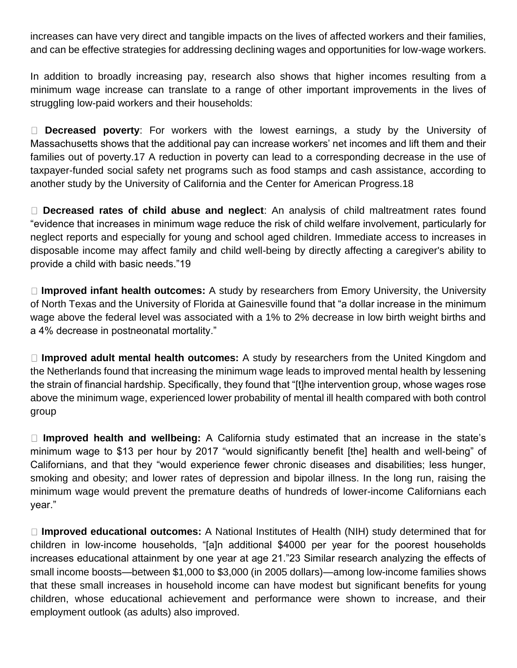increases can have very direct and tangible impacts on the lives of affected workers and their families, and can be effective strategies for addressing declining wages and opportunities for low-wage workers.

In addition to broadly increasing pay, research also shows that higher incomes resulting from a minimum wage increase can translate to a range of other important improvements in the lives of struggling low-paid workers and their households:

**Decreased poverty**: For workers with the lowest earnings, a study by the University of Massachusetts shows that the additional pay can increase workers' net incomes and lift them and their families out of poverty.17 A reduction in poverty can lead to a corresponding decrease in the use of taxpayer-funded social safety net programs such as food stamps and cash assistance, according to another study by the University of California and the Center for American Progress.18

**Decreased rates of child abuse and neglect**: An analysis of child maltreatment rates found "evidence that increases in minimum wage reduce the risk of child welfare involvement, particularly for neglect reports and especially for young and school aged children. Immediate access to increases in disposable income may affect family and child well-being by directly affecting a caregiver's ability to provide a child with basic needs."19

**Improved infant health outcomes:** A study by researchers from Emory University, the University of North Texas and the University of Florida at Gainesville found that "a dollar increase in the minimum wage above the federal level was associated with a 1% to 2% decrease in low birth weight births and a 4% decrease in postneonatal mortality."

**Improved adult mental health outcomes:** A study by researchers from the United Kingdom and the Netherlands found that increasing the minimum wage leads to improved mental health by lessening the strain of financial hardship. Specifically, they found that "[t]he intervention group, whose wages rose above the minimum wage, experienced lower probability of mental ill health compared with both control group

**Improved health and wellbeing:** A California study estimated that an increase in the state's minimum wage to \$13 per hour by 2017 "would significantly benefit [the] health and well-being" of Californians, and that they "would experience fewer chronic diseases and disabilities; less hunger, smoking and obesity; and lower rates of depression and bipolar illness. In the long run, raising the minimum wage would prevent the premature deaths of hundreds of lower-income Californians each year."

**Improved educational outcomes:** A National Institutes of Health (NIH) study determined that for children in low-income households, "[a]n additional \$4000 per year for the poorest households increases educational attainment by one year at age 21."23 Similar research analyzing the effects of small income boosts—between \$1,000 to \$3,000 (in 2005 dollars)—among low-income families shows that these small increases in household income can have modest but significant benefits for young children, whose educational achievement and performance were shown to increase, and their employment outlook (as adults) also improved.